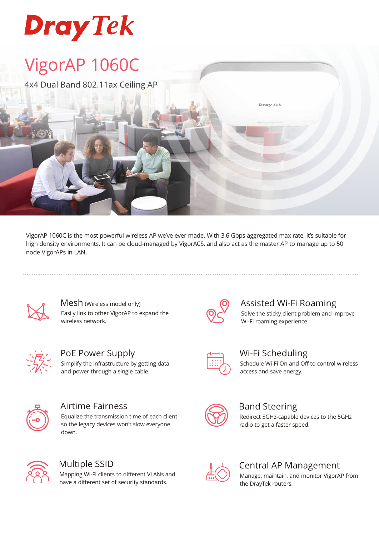# **Dray Tek**

## VigorAP 1060C

4x4 Dual Band 802.11ax Ceiling AP

VigorAP 1060C is the most powerful wireless AP we've ever made. With 3.6 Gbps aggregated max rate, it's suitable for high density environments. It can be cloud-managed by VigorACS, and also act as the master AP to manage up to 50 node VigorAPs in LAN.



Mesh (Wireless model only) Easily link to other VigorAP to expand the wireless network.



PoE Power Supply Simplify the infrastructure by getting data and power through a single cable.



### Airtime Fairness

Equalize the transmission time of each client so the legacy devices won't slow everyone down.



### Multiple SSID

Mapping Wi-Fi clients to different VLANs and have a different set of security standards.



### Assisted Wi-Fi Roaming

Solve the sticky client problem and improve Wi-Fi roaming experience.



### Wi-Fi Scheduling

**Dray** Tek

Schedule Wi-Fi On and Off to control wireless access and save energy.



### Band Steering

Redirect 5GHz-capable devices to the 5GHz radio to get a faster speed.



### Central AP Management

Manage, maintain, and monitor VigorAP from the DrayTek routers.